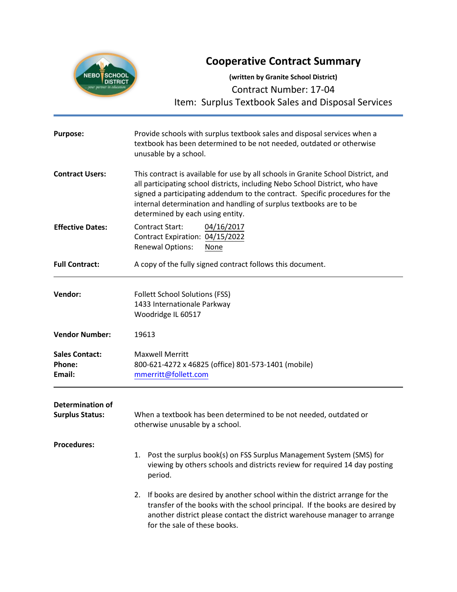# **Cooperative Contract Summary**



**(written by Granite School District)** Contract Number: 17-04 Item: Surplus Textbook Sales and Disposal Services

| <b>Purpose:</b>                                   | Provide schools with surplus textbook sales and disposal services when a<br>textbook has been determined to be not needed, outdated or otherwise<br>unusable by a school.                                                                                                                                                                                   |  |  |
|---------------------------------------------------|-------------------------------------------------------------------------------------------------------------------------------------------------------------------------------------------------------------------------------------------------------------------------------------------------------------------------------------------------------------|--|--|
| <b>Contract Users:</b>                            | This contract is available for use by all schools in Granite School District, and<br>all participating school districts, including Nebo School District, who have<br>signed a participating addendum to the contract. Specific procedures for the<br>internal determination and handling of surplus textbooks are to be<br>determined by each using entity. |  |  |
| <b>Effective Dates:</b>                           | <b>Contract Start:</b><br>04/16/2017<br>Contract Expiration: 04/15/2022<br><b>Renewal Options:</b><br>None                                                                                                                                                                                                                                                  |  |  |
| <b>Full Contract:</b>                             | A copy of the fully signed contract follows this document.                                                                                                                                                                                                                                                                                                  |  |  |
| Vendor:                                           | <b>Follett School Solutions (FSS)</b><br>1433 Internationale Parkway<br>Woodridge IL 60517                                                                                                                                                                                                                                                                  |  |  |
| <b>Vendor Number:</b>                             | 19613                                                                                                                                                                                                                                                                                                                                                       |  |  |
| <b>Sales Contact:</b><br>Phone:<br>Email:         | <b>Maxwell Merritt</b><br>800-621-4272 x 46825 (office) 801-573-1401 (mobile)<br>mmerritt@follett.com                                                                                                                                                                                                                                                       |  |  |
| <b>Determination of</b><br><b>Surplus Status:</b> | When a textbook has been determined to be not needed, outdated or<br>otherwise unusable by a school.                                                                                                                                                                                                                                                        |  |  |
| <b>Procedures:</b>                                | 1. Post the surplus book(s) on FSS Surplus Management System (SMS) for<br>viewing by others schools and districts review for required 14 day posting<br>period.                                                                                                                                                                                             |  |  |
|                                                   | If books are desired by another school within the district arrange for the<br>2.<br>transfer of the books with the school principal. If the books are desired by<br>another district please contact the district warehouse manager to arrange<br>for the sale of these books.                                                                               |  |  |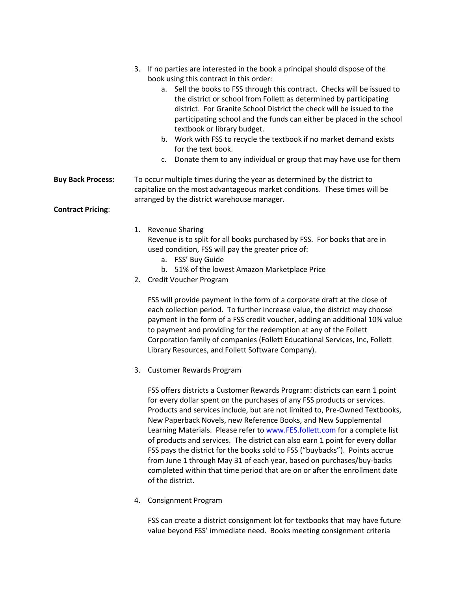|                          | If no parties are interested in the book a principal should dispose of the<br>3.<br>book using this contract in this order:<br>a. Sell the books to FSS through this contract. Checks will be issued to<br>the district or school from Follett as determined by participating<br>district. For Granite School District the check will be issued to the<br>participating school and the funds can either be placed in the school<br>textbook or library budget.<br>b. Work with FSS to recycle the textbook if no market demand exists<br>for the text book.<br>c. Donate them to any individual or group that may have use for them |  |
|--------------------------|-------------------------------------------------------------------------------------------------------------------------------------------------------------------------------------------------------------------------------------------------------------------------------------------------------------------------------------------------------------------------------------------------------------------------------------------------------------------------------------------------------------------------------------------------------------------------------------------------------------------------------------|--|
| <b>Buy Back Process:</b> | To occur multiple times during the year as determined by the district to<br>capitalize on the most advantageous market conditions. These times will be<br>arranged by the district warehouse manager.                                                                                                                                                                                                                                                                                                                                                                                                                               |  |
| <b>Contract Pricing:</b> |                                                                                                                                                                                                                                                                                                                                                                                                                                                                                                                                                                                                                                     |  |
|                          | <b>Revenue Sharing</b><br>1.<br>Revenue is to split for all books purchased by FSS. For books that are in<br>used condition, FSS will pay the greater price of:<br>a. FSS' Buy Guide<br>b. 51% of the lowest Amazon Marketplace Price<br>2. Credit Voucher Program                                                                                                                                                                                                                                                                                                                                                                  |  |
|                          | FSS will provide payment in the form of a corporate draft at the close of<br>each collection period. To further increase value, the district may choose<br>payment in the form of a FSS credit voucher, adding an additional 10% value<br>to payment and providing for the redemption at any of the Follett                                                                                                                                                                                                                                                                                                                         |  |

to payment and providing for the redemption at any of the Follett Corporation family of companies (Follett Educational Services, Inc, Follett Library Resources, and Follett Software Company).

3. Customer Rewards Program

FSS offers districts a Customer Rewards Program: districts can earn 1 point for every dollar spent on the purchases of any FSS products or services. Products and services include, but are not limited to, Pre-Owned Textbooks, New Paperback Novels, new Reference Books, and New Supplemental Learning Materials. Please refer t[o www.FES.follett.com](http://www.fes.follett.com/) for a complete list of products and services. The district can also earn 1 point for every dollar FSS pays the district for the books sold to FSS ("buybacks"). Points accrue from June 1 through May 31 of each year, based on purchases/buy-backs completed within that time period that are on or after the enrollment date of the district.

4. Consignment Program

FSS can create a district consignment lot for textbooks that may have future value beyond FSS' immediate need. Books meeting consignment criteria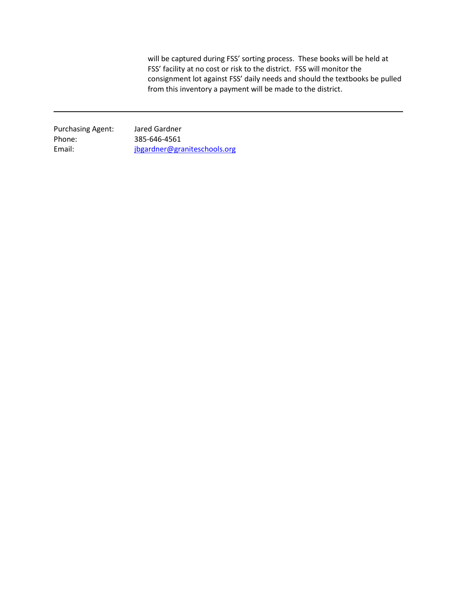will be captured during FSS' sorting process. These books will be held at FSS' facility at no cost or risk to the district. FSS will monitor the consignment lot against FSS' daily needs and should the textbooks be pulled from this inventory a payment will be made to the district.

Purchasing Agent: Jared Gardner Phone: 385-646-4561

Email: [jbgardner@graniteschools.org](mailto:jbgardner@graniteschools.org)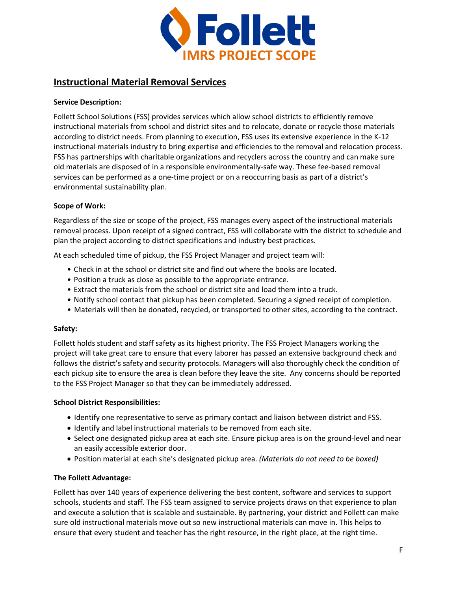

## **Instructional Material Removal Services**

## **Service Description:**

Follett School Solutions (FSS) provides services which allow school districts to efficiently remove instructional materials from school and district sites and to relocate, donate or recycle those materials according to district needs. From planning to execution, FSS uses its extensive experience in the K-12 instructional materials industry to bring expertise and efficiencies to the removal and relocation process. FSS has partnerships with charitable organizations and recyclers across the country and can make sure old materials are disposed of in a responsible environmentally-safe way. These fee-based removal services can be performed as a one-time project or on a reoccurring basis as part of a district's environmental sustainability plan.

## **Scope of Work:**

Regardless of the size or scope of the project, FSS manages every aspect of the instructional materials removal process. Upon receipt of a signed contract, FSS will collaborate with the district to schedule and plan the project according to district specifications and industry best practices.

At each scheduled time of pickup, the FSS Project Manager and project team will:

- Check in at the school or district site and find out where the books are located.
- Position a truck as close as possible to the appropriate entrance.
- Extract the materials from the school or district site and load them into a truck.
- Notify school contact that pickup has been completed. Securing a signed receipt of completion.
- Materials will then be donated, recycled, or transported to other sites, according to the contract.

### **Safety:**

Follett holds student and staff safety as its highest priority. The FSS Project Managers working the project will take great care to ensure that every laborer has passed an extensive background check and follows the district's safety and security protocols. Managers will also thoroughly check the condition of each pickup site to ensure the area is clean before they leave the site. Any concerns should be reported to the FSS Project Manager so that they can be immediately addressed.

### **School District Responsibilities:**

- Identify one representative to serve as primary contact and liaison between district and FSS.
- Identify and label instructional materials to be removed from each site.
- Select one designated pickup area at each site. Ensure pickup area is on the ground-level and near an easily accessible exterior door.
- Position material at each site's designated pickup area. *(Materials do not need to be boxed)*

### **The Follett Advantage:**

Follett has over 140 years of experience delivering the best content, software and services to support schools, students and staff. The FSS team assigned to service projects draws on that experience to plan and execute a solution that is scalable and sustainable. By partnering, your district and Follett can make sure old instructional materials move out so new instructional materials can move in. This helps to ensure that every student and teacher has the right resource, in the right place, at the right time.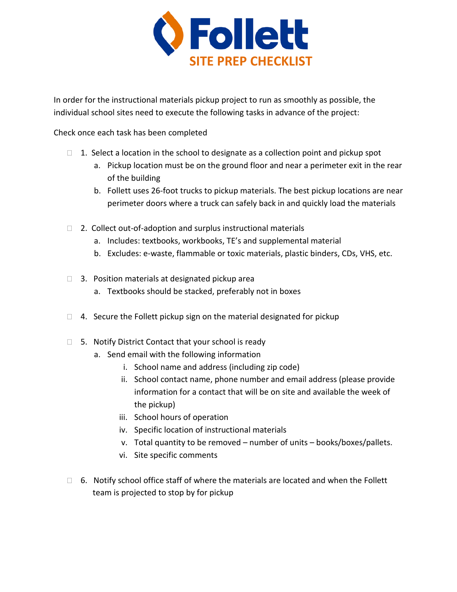

In order for the instructional materials pickup project to run as smoothly as possible, the individual school sites need to execute the following tasks in advance of the project:

Check once each task has been completed

- $\Box$  1. Select a location in the school to designate as a collection point and pickup spot
	- a. Pickup location must be on the ground floor and near a perimeter exit in the rear of the building
	- b. Follett uses 26-foot trucks to pickup materials. The best pickup locations are near perimeter doors where a truck can safely back in and quickly load the materials
- $\Box$  2. Collect out-of-adoption and surplus instructional materials
	- a. Includes: textbooks, workbooks, TE's and supplemental material
	- b. Excludes: e-waste, flammable or toxic materials, plastic binders, CDs, VHS, etc.
- $\Box$  3. Position materials at designated pickup area
	- a. Textbooks should be stacked, preferably not in boxes
- $\Box$  4. Secure the Follett pickup sign on the material designated for pickup
- $\Box$  5. Notify District Contact that your school is ready
	- a. Send email with the following information
		- i. School name and address (including zip code)
		- ii. School contact name, phone number and email address (please provide information for a contact that will be on site and available the week of the pickup)
		- iii. School hours of operation
		- iv. Specific location of instructional materials
		- v. Total quantity to be removed number of units books/boxes/pallets.
		- vi. Site specific comments
- $\Box$  6. Notify school office staff of where the materials are located and when the Follett team is projected to stop by for pickup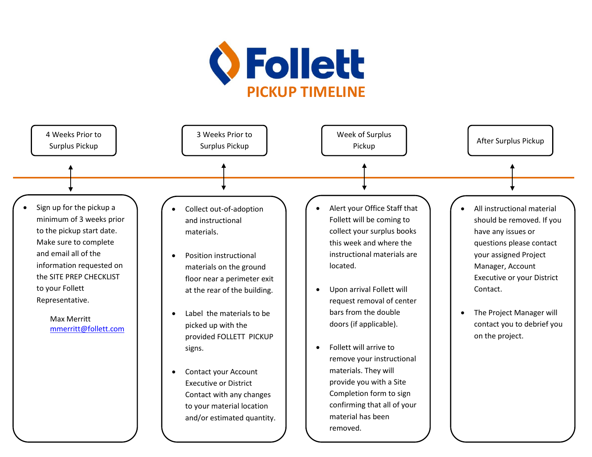

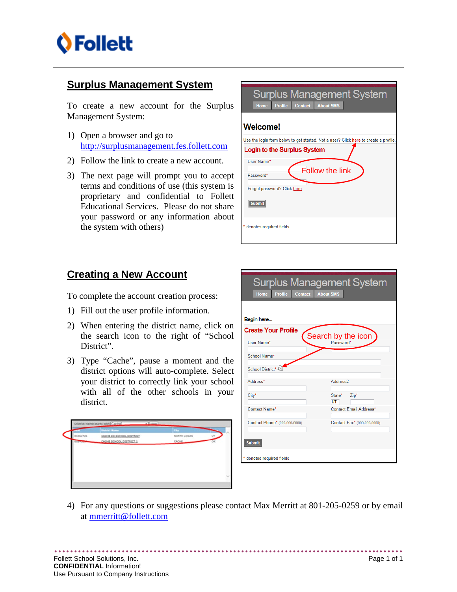

## **Surplus Management System**

To create a new account for the Surplus Management System:

- 1) Open a browser and go to [http://surplusmanagement.fes.follett.com](http://surplusmanagement.fes.follett.com/)
- 2) Follow the link to create a new account.
- 3) The next page will prompt you to accept terms and conditions of use (this system is proprietary and confidential to Follett Educational Services. Please do not share your password or any information about the system with others)

| <b>Surplus Management System</b><br>Profile Contact About SMS<br><b>Home</b>         |  |  |
|--------------------------------------------------------------------------------------|--|--|
| <b>Welcome!</b>                                                                      |  |  |
| Use the login form below to get started. Not a user? Click here to create a profile. |  |  |
| Login to the Surplus System                                                          |  |  |
| User Name*<br><b>Follow the link</b><br>Password*                                    |  |  |
| Forgot password? Click here                                                          |  |  |
| <b>Submit</b>                                                                        |  |  |
| denotes required fields                                                              |  |  |

## **Creating a New Account**

To complete the account creation process:

- 1) Fill out the user profile information.
- 2) When entering the district name, click on the search icon to the right of "School District".
- 3) Type "Cache", pause a moment and the district options will auto-complete. Select your district to correctly link your school with all of the other schools in your district.



| <b>Surplus Management System</b><br><b>Contact About SMS</b><br><b>Profile</b><br><b>Home</b> |                                 |  |  |  |
|-----------------------------------------------------------------------------------------------|---------------------------------|--|--|--|
| Begin here                                                                                    |                                 |  |  |  |
| <b>Create Your Profile</b>                                                                    |                                 |  |  |  |
| User Name*                                                                                    | Search by the icon<br>Password* |  |  |  |
| School Name*                                                                                  |                                 |  |  |  |
| School District* R                                                                            |                                 |  |  |  |
| Address*                                                                                      | Address <sub>2</sub>            |  |  |  |
| City*                                                                                         | State*<br>Zip*<br>UT            |  |  |  |
| <b>Contact Name*</b>                                                                          | <b>Contact Email Address*</b>   |  |  |  |
| Contact Phone* (000-000-0000)                                                                 | Contact Fax* (000-000-0000)     |  |  |  |
| <b>Submit</b>                                                                                 |                                 |  |  |  |
| * denotes required fields                                                                     |                                 |  |  |  |

4) For any questions or suggestions please contact Max Merritt at 801-205-0259 or by email at [mmerritt@follett.com](mailto:mmerritt@follett.com)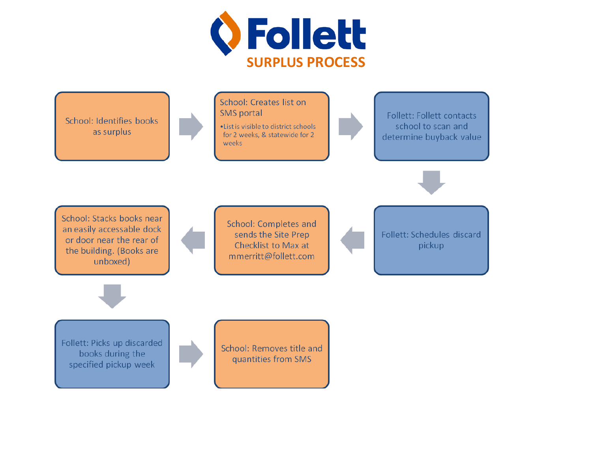

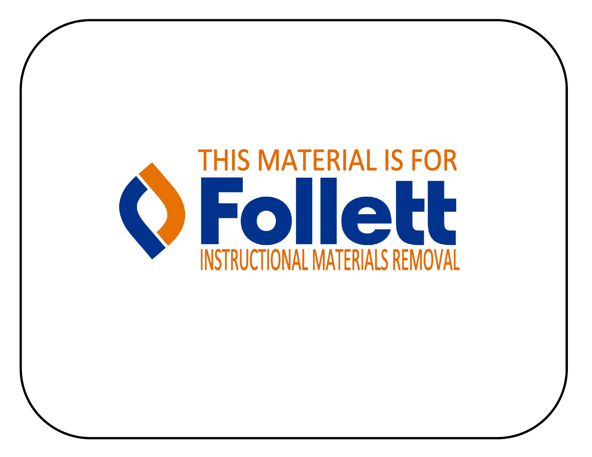